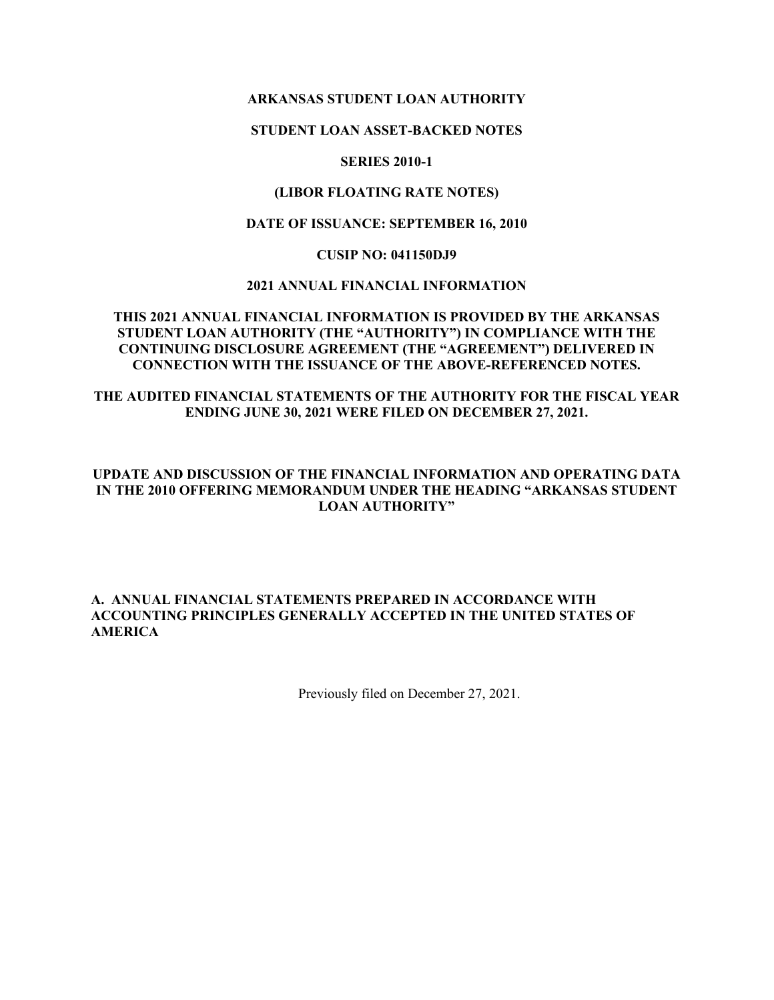### **ARKANSAS STUDENT LOAN AUTHORITY**

#### **STUDENT LOAN ASSET-BACKED NOTES**

#### **SERIES 2010-1**

#### **(LIBOR FLOATING RATE NOTES)**

#### **DATE OF ISSUANCE: SEPTEMBER 16, 2010**

#### **CUSIP NO: 041150DJ9**

### **2021 ANNUAL FINANCIAL INFORMATION**

#### **THIS 2021 ANNUAL FINANCIAL INFORMATION IS PROVIDED BY THE ARKANSAS STUDENT LOAN AUTHORITY (THE "AUTHORITY") IN COMPLIANCE WITH THE CONTINUING DISCLOSURE AGREEMENT (THE "AGREEMENT") DELIVERED IN CONNECTION WITH THE ISSUANCE OF THE ABOVE-REFERENCED NOTES.**

# **THE AUDITED FINANCIAL STATEMENTS OF THE AUTHORITY FOR THE FISCAL YEAR ENDING JUNE 30, 2021 WERE FILED ON DECEMBER 27, 2021.**

## **UPDATE AND DISCUSSION OF THE FINANCIAL INFORMATION AND OPERATING DATA IN THE 2010 OFFERING MEMORANDUM UNDER THE HEADING "ARKANSAS STUDENT LOAN AUTHORITY"**

### **A. ANNUAL FINANCIAL STATEMENTS PREPARED IN ACCORDANCE WITH ACCOUNTING PRINCIPLES GENERALLY ACCEPTED IN THE UNITED STATES OF AMERICA**

Previously filed on December 27, 2021.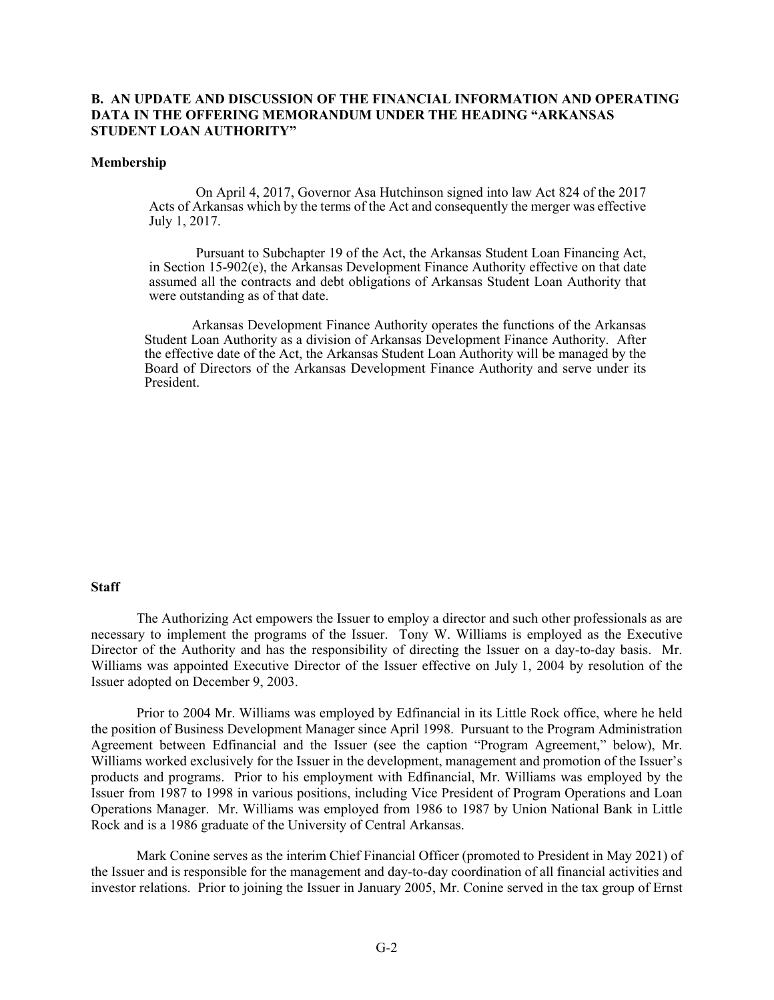#### **B. AN UPDATE AND DISCUSSION OF THE FINANCIAL INFORMATION AND OPERATING DATA IN THE OFFERING MEMORANDUM UNDER THE HEADING "ARKANSAS STUDENT LOAN AUTHORITY"**

#### **Membership**

On April 4, 2017, Governor Asa Hutchinson signed into law Act 824 of the 2017 Acts of Arkansas which by the terms of the Act and consequently the merger was effective July 1, 2017.

Pursuant to Subchapter 19 of the Act, the Arkansas Student Loan Financing Act, in Section 15-902(e), the Arkansas Development Finance Authority effective on that date assumed all the contracts and debt obligations of Arkansas Student Loan Authority that were outstanding as of that date.

Arkansas Development Finance Authority operates the functions of the Arkansas Student Loan Authority as a division of Arkansas Development Finance Authority. After the effective date of the Act, the Arkansas Student Loan Authority will be managed by the Board of Directors of the Arkansas Development Finance Authority and serve under its President.

#### **Staff**

The Authorizing Act empowers the Issuer to employ a director and such other professionals as are necessary to implement the programs of the Issuer. Tony W. Williams is employed as the Executive Director of the Authority and has the responsibility of directing the Issuer on a day-to-day basis. Mr. Williams was appointed Executive Director of the Issuer effective on July 1, 2004 by resolution of the Issuer adopted on December 9, 2003.

Prior to 2004 Mr. Williams was employed by Edfinancial in its Little Rock office, where he held the position of Business Development Manager since April 1998. Pursuant to the Program Administration Agreement between Edfinancial and the Issuer (see the caption "Program Agreement," below), Mr. Williams worked exclusively for the Issuer in the development, management and promotion of the Issuer's products and programs. Prior to his employment with Edfinancial, Mr. Williams was employed by the Issuer from 1987 to 1998 in various positions, including Vice President of Program Operations and Loan Operations Manager. Mr. Williams was employed from 1986 to 1987 by Union National Bank in Little Rock and is a 1986 graduate of the University of Central Arkansas.

Mark Conine serves as the interim Chief Financial Officer (promoted to President in May 2021) of the Issuer and is responsible for the management and day-to-day coordination of all financial activities and investor relations. Prior to joining the Issuer in January 2005, Mr. Conine served in the tax group of Ernst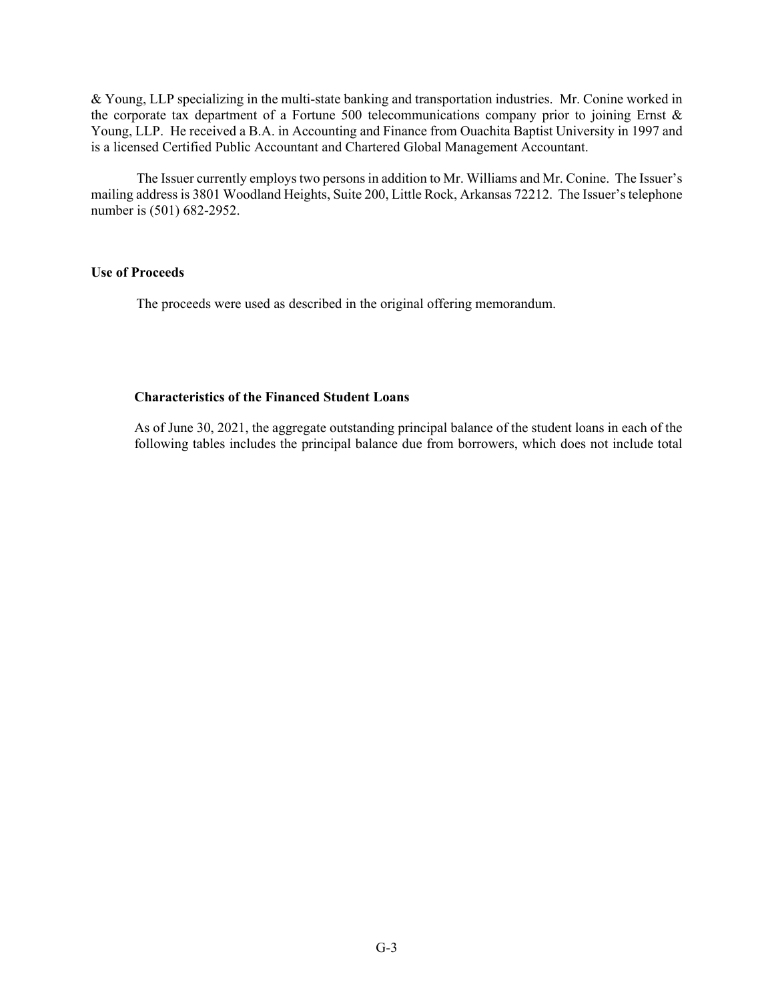& Young, LLP specializing in the multi-state banking and transportation industries. Mr. Conine worked in the corporate tax department of a Fortune 500 telecommunications company prior to joining Ernst & Young, LLP. He received a B.A. in Accounting and Finance from Ouachita Baptist University in 1997 and is a licensed Certified Public Accountant and Chartered Global Management Accountant.

The Issuer currently employs two persons in addition to Mr. Williams and Mr. Conine. The Issuer's mailing address is 3801 Woodland Heights, Suite 200, Little Rock, Arkansas 72212. The Issuer's telephone number is (501) 682-2952.

#### **Use of Proceeds**

The proceeds were used as described in the original offering memorandum.

### **Characteristics of the Financed Student Loans**

As of June 30, 2021, the aggregate outstanding principal balance of the student loans in each of the following tables includes the principal balance due from borrowers, which does not include total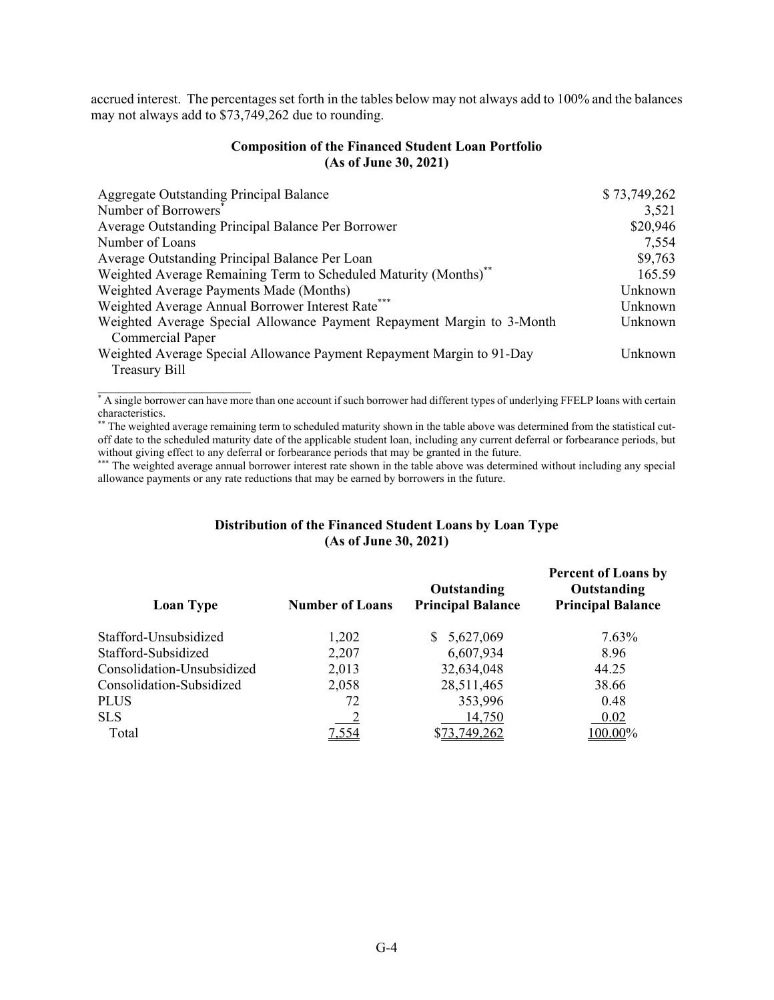accrued interest. The percentages set forth in the tables below may not always add to 100% and the balances may not always add to \$73,749,262 due to rounding.

#### **Composition of the Financed Student Loan Portfolio (As of June 30, 2021)**

| Aggregate Outstanding Principal Balance                                | \$73,749,262 |
|------------------------------------------------------------------------|--------------|
| Number of Borrowers <sup>®</sup>                                       | 3,521        |
| Average Outstanding Principal Balance Per Borrower                     | \$20,946     |
| Number of Loans                                                        | 7,554        |
| Average Outstanding Principal Balance Per Loan                         | \$9,763      |
| Weighted Average Remaining Term to Scheduled Maturity (Months)**       | 165.59       |
| Weighted Average Payments Made (Months)                                | Unknown      |
| Weighted Average Annual Borrower Interest Rate*                        | Unknown      |
| Weighted Average Special Allowance Payment Repayment Margin to 3-Month | Unknown      |
| <b>Commercial Paper</b>                                                |              |
| Weighted Average Special Allowance Payment Repayment Margin to 91-Day  | Unknown      |
| <b>Treasury Bill</b>                                                   |              |

\* A single borrower can have more than one account if such borrower had different types of underlying FFELP loans with certain characteristics.

 $\mathcal{L}=\{1,2,3,4,5\}$ 

The weighted average remaining term to scheduled maturity shown in the table above was determined from the statistical cutoff date to the scheduled maturity date of the applicable student loan, including any current deferral or forbearance periods, but without giving effect to any deferral or forbearance periods that may be granted in the future.

\*\*\* The weighted average annual borrower interest rate shown in the table above was determined without including any special allowance payments or any rate reductions that may be earned by borrowers in the future.

#### **Distribution of the Financed Student Loans by Loan Type (As of June 30, 2021)**

| <b>Loan Type</b>           | <b>Number of Loans</b> | Outstanding<br><b>Principal Balance</b> | <b>Percent of Loans by</b><br>Outstanding<br><b>Principal Balance</b> |
|----------------------------|------------------------|-----------------------------------------|-----------------------------------------------------------------------|
| Stafford-Unsubsidized      | 1,202                  | \$5,627,069                             | 7.63%                                                                 |
| Stafford-Subsidized        | 2,207                  | 6,607,934                               | 8.96                                                                  |
| Consolidation-Unsubsidized | 2,013                  | 32,634,048                              | 44.25                                                                 |
| Consolidation-Subsidized   | 2,058                  | 28,511,465                              | 38.66                                                                 |
| PLUS                       | 72                     | 353,996                                 | 0.48                                                                  |
| <b>SLS</b>                 |                        | 14,750                                  | 0.02                                                                  |
| Total                      | 7,554                  | \$73,749,262                            | 100.00%                                                               |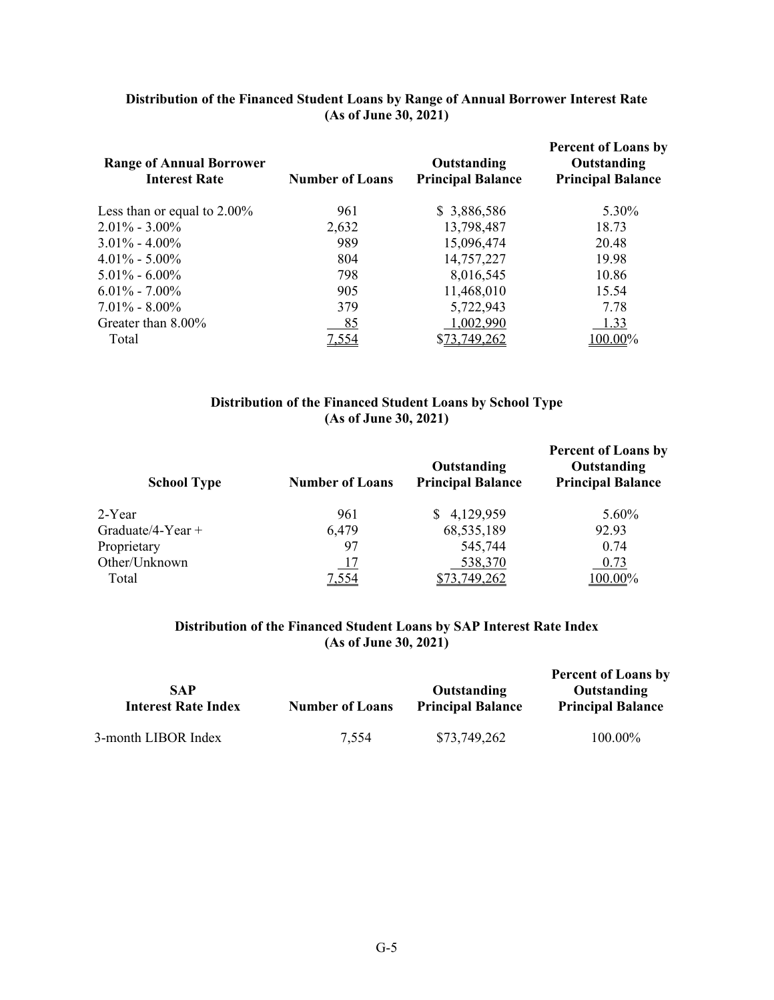| Distribution of the Financed Student Loans by Range of Annual Borrower Interest Rate |
|--------------------------------------------------------------------------------------|
| (As of June 30, 2021)                                                                |

| <b>Range of Annual Borrower</b><br><b>Interest Rate</b> | <b>Number of Loans</b> | Outstanding<br><b>Principal Balance</b> | <b>Percent of Loans by</b><br>Outstanding<br><b>Principal Balance</b> |
|---------------------------------------------------------|------------------------|-----------------------------------------|-----------------------------------------------------------------------|
| Less than or equal to $2.00\%$                          | 961                    | \$3,886,586                             | 5.30%                                                                 |
| $2.01\% - 3.00\%$                                       | 2,632                  | 13,798,487                              | 18.73                                                                 |
| $3.01\% - 4.00\%$                                       | 989                    | 15,096,474                              | 20.48                                                                 |
| $4.01\% - 5.00\%$                                       | 804                    | 14,757,227                              | 19.98                                                                 |
| $5.01\% - 6.00\%$                                       | 798                    | 8,016,545                               | 10.86                                                                 |
| $6.01\% - 7.00\%$                                       | 905                    | 11,468,010                              | 15.54                                                                 |
| $7.01\% - 8.00\%$                                       | 379                    | 5,722,943                               | 7.78                                                                  |
| Greater than 8.00%                                      | 85                     | 1,002,990                               | 1.33                                                                  |
| Total                                                   | 7,554                  | <u>73,749,262</u>                       | 100.00%                                                               |

### **Distribution of the Financed Student Loans by School Type (As of June 30, 2021)**

| <b>School Type</b>  | <b>Number of Loans</b> | Outstanding<br><b>Principal Balance</b> | <b>Percent of Loans by</b><br>Outstanding<br><b>Principal Balance</b> |
|---------------------|------------------------|-----------------------------------------|-----------------------------------------------------------------------|
| 2-Year              | 961                    | 4,129,959                               | 5.60%                                                                 |
| Graduate/4-Year $+$ | 6,479                  | 68,535,189                              | 92.93                                                                 |
| Proprietary         | 97                     | 545,744                                 | 0.74                                                                  |
| Other/Unknown       | <u>17</u>              | 538,370                                 | 0.73                                                                  |
| Total               | <u>7,554</u>           | 73, 749, 262                            | 100.00%                                                               |

# **Distribution of the Financed Student Loans by SAP Interest Rate Index (As of June 30, 2021)**

|                                          |                        |                                         | <b>Percent of Loans by</b>              |
|------------------------------------------|------------------------|-----------------------------------------|-----------------------------------------|
| <b>SAP</b><br><b>Interest Rate Index</b> | <b>Number of Loans</b> | Outstanding<br><b>Principal Balance</b> | Outstanding<br><b>Principal Balance</b> |
| 3-month LIBOR Index                      | 7.554                  | \$73,749,262                            | 100.00%                                 |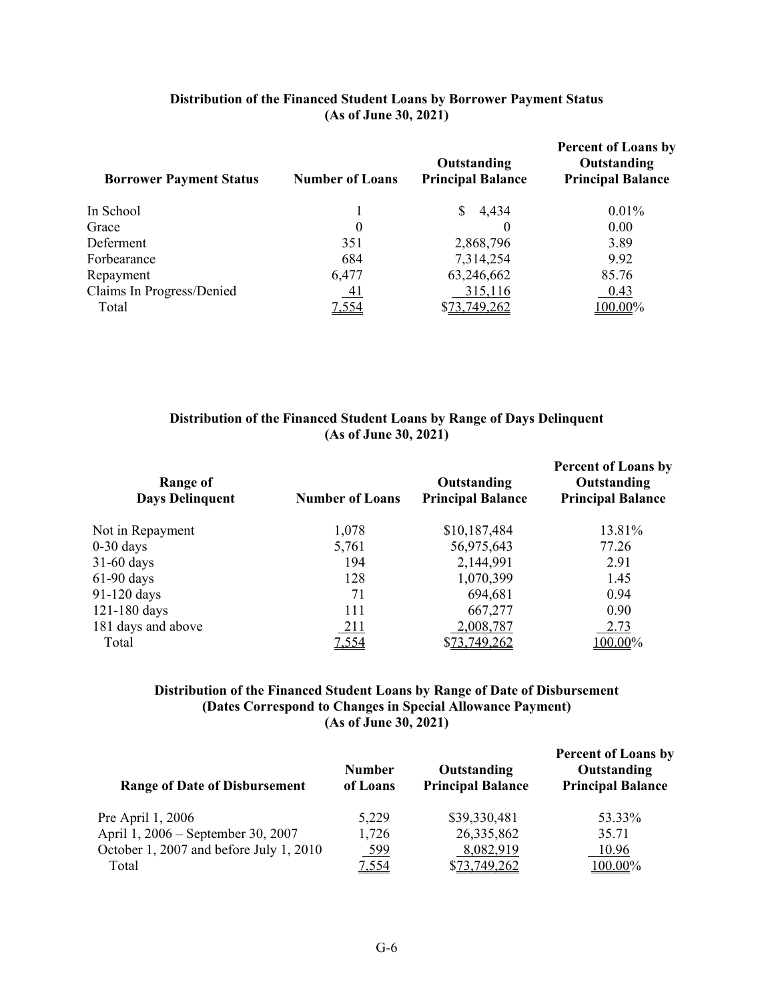| Distribution of the Financed Student Loans by Borrower Payment Status |
|-----------------------------------------------------------------------|
| (As of June 30, 2021)                                                 |

| <b>Borrower Payment Status</b> | <b>Number of Loans</b> | Outstanding<br><b>Principal Balance</b> | <b>Percent of Loans by</b><br>Outstanding<br><b>Principal Balance</b> |
|--------------------------------|------------------------|-----------------------------------------|-----------------------------------------------------------------------|
| In School                      |                        | \$4,434                                 | $0.01\%$                                                              |
| Grace                          | 0                      |                                         | 0.00                                                                  |
| Deferment                      | 351                    | 2,868,796                               | 3.89                                                                  |
| Forbearance                    | 684                    | 7,314,254                               | 9.92                                                                  |
| Repayment                      | 6,477                  | 63,246,662                              | 85.76                                                                 |
| Claims In Progress/Denied      | <u>_41</u>             | 315,116                                 | 0.43                                                                  |
| Total                          | 7,554                  | \$73,749,262                            | 100.00%                                                               |

# **Distribution of the Financed Student Loans by Range of Days Delinquent (As of June 30, 2021)**

| <b>Number of Loans</b> | Outstanding<br><b>Principal Balance</b> | <b>Percent of Loans by</b><br>Outstanding<br><b>Principal Balance</b> |
|------------------------|-----------------------------------------|-----------------------------------------------------------------------|
| 1,078                  | \$10,187,484                            | 13.81%                                                                |
| 5,761                  | 56,975,643                              | 77.26                                                                 |
| 194                    | 2,144,991                               | 2.91                                                                  |
| 128                    | 1,070,399                               | 1.45                                                                  |
| 71                     | 694,681                                 | 0.94                                                                  |
| 111                    | 667,277                                 | 0.90                                                                  |
| 211                    | 2,008,787                               | 2.73                                                                  |
| 7,554                  | \$73,749,262                            | 100.00%                                                               |
|                        |                                         |                                                                       |

# **Distribution of the Financed Student Loans by Range of Date of Disbursement (Dates Correspond to Changes in Special Allowance Payment) (As of June 30, 2021)**

| <b>Range of Date of Disbursement</b>    | <b>Number</b><br>of Loans | Outstanding<br><b>Principal Balance</b> | <b>Percent of Loans by</b><br>Outstanding<br><b>Principal Balance</b> |
|-----------------------------------------|---------------------------|-----------------------------------------|-----------------------------------------------------------------------|
| Pre April 1, 2006                       | 5,229                     | \$39,330,481                            | 53.33%                                                                |
| April 1, 2006 – September 30, 2007      | 1,726                     | 26,335,862                              | 35.71                                                                 |
| October 1, 2007 and before July 1, 2010 | 599                       | 8,082,919                               | 10.96                                                                 |
| Total                                   | 7,554                     | \$73,749,262                            | $100.00\%$                                                            |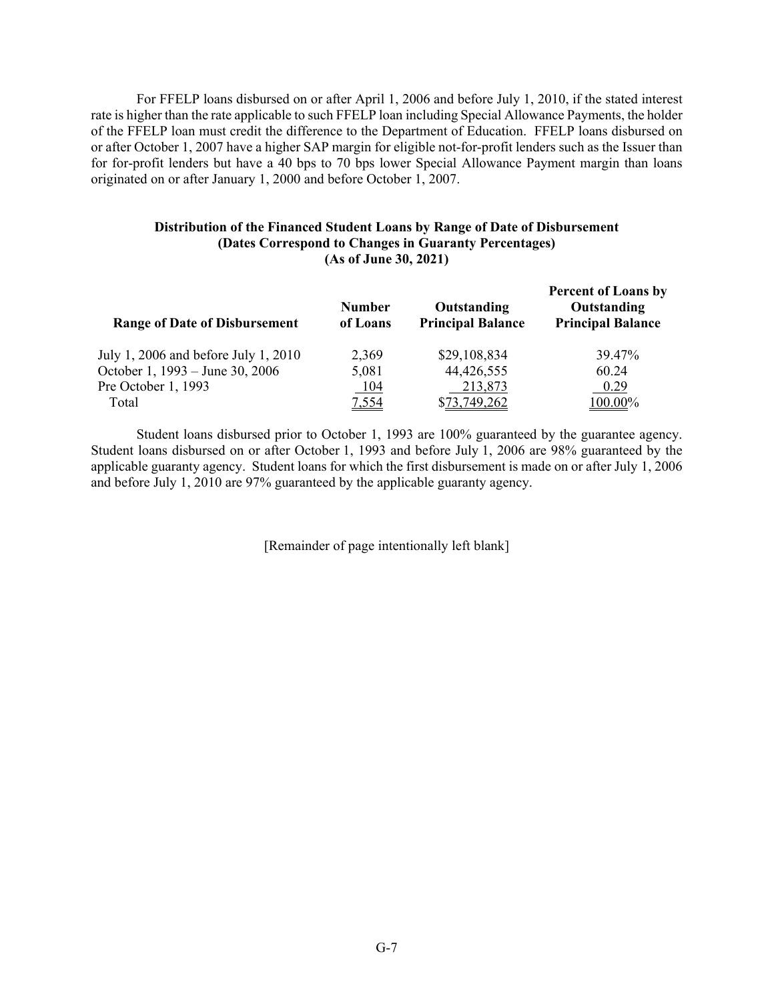For FFELP loans disbursed on or after April 1, 2006 and before July 1, 2010, if the stated interest rate is higher than the rate applicable to such FFELP loan including Special Allowance Payments, the holder of the FFELP loan must credit the difference to the Department of Education. FFELP loans disbursed on or after October 1, 2007 have a higher SAP margin for eligible not-for-profit lenders such as the Issuer than for for-profit lenders but have a 40 bps to 70 bps lower Special Allowance Payment margin than loans originated on or after January 1, 2000 and before October 1, 2007.

#### **Distribution of the Financed Student Loans by Range of Date of Disbursement (Dates Correspond to Changes in Guaranty Percentages) (As of June 30, 2021)**

| <b>Range of Date of Disbursement</b> | <b>Number</b><br>of Loans | Outstanding<br><b>Principal Balance</b> | <b>Percent of Loans by</b><br>Outstanding<br><b>Principal Balance</b> |
|--------------------------------------|---------------------------|-----------------------------------------|-----------------------------------------------------------------------|
| July 1, 2006 and before July 1, 2010 | 2,369                     | \$29,108,834                            | 39.47%                                                                |
| October 1, 1993 – June 30, 2006      | 5,081                     | 44,426,555                              | 60.24                                                                 |
| Pre October 1, 1993                  | <u>104</u>                | 213,873                                 | 0.29                                                                  |
| Total                                | <u>7,554</u>              | \$73,749,262                            | 100.00%                                                               |

Student loans disbursed prior to October 1, 1993 are 100% guaranteed by the guarantee agency. Student loans disbursed on or after October 1, 1993 and before July 1, 2006 are 98% guaranteed by the applicable guaranty agency. Student loans for which the first disbursement is made on or after July 1, 2006 and before July 1, 2010 are 97% guaranteed by the applicable guaranty agency.

[Remainder of page intentionally left blank]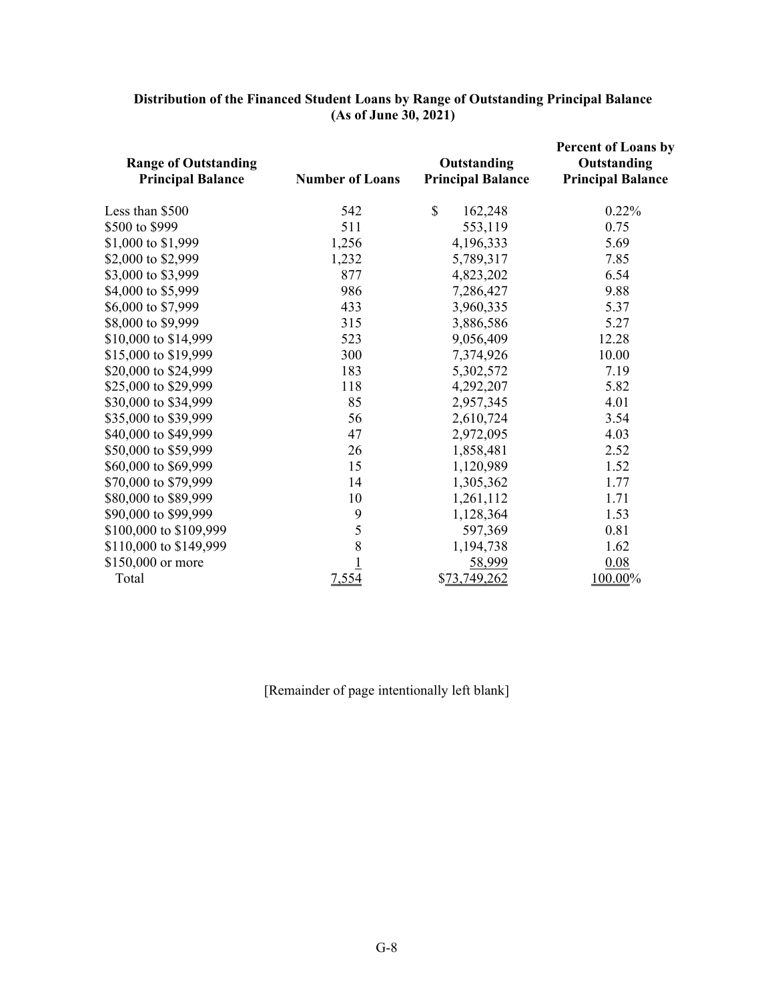| <b>Range of Outstanding</b><br><b>Principal Balance</b> | <b>Number of Loans</b> | Outstanding<br><b>Principal Balance</b> | <b>Percent of Loans by</b><br>Outstanding<br><b>Principal Balance</b> |
|---------------------------------------------------------|------------------------|-----------------------------------------|-----------------------------------------------------------------------|
| Less than \$500                                         | 542                    | $\mathbb{S}$<br>162,248                 | 0.22%                                                                 |
| \$500 to \$999                                          | 511                    | 553,119                                 | 0.75                                                                  |
| \$1,000 to \$1,999                                      | 1,256                  | 4,196,333                               | 5.69                                                                  |
| \$2,000 to \$2,999                                      | 1,232                  | 5,789,317                               | 7.85                                                                  |
| \$3,000 to \$3,999                                      | 877                    | 4,823,202                               | 6.54                                                                  |
| \$4,000 to \$5,999                                      | 986                    | 7,286,427                               | 9.88                                                                  |
| \$6,000 to \$7,999                                      | 433                    | 3,960,335                               | 5.37                                                                  |
| \$8,000 to \$9,999                                      | 315                    | 3,886,586                               | 5.27                                                                  |
| \$10,000 to \$14,999                                    | 523                    | 9,056,409                               | 12.28                                                                 |
| \$15,000 to \$19,999                                    | 300                    | 7,374,926                               | 10.00                                                                 |
| \$20,000 to \$24,999                                    | 183                    | 5,302,572                               | 7.19                                                                  |
| \$25,000 to \$29,999                                    | 118                    | 4,292,207                               | 5.82                                                                  |
| \$30,000 to \$34,999                                    | 85                     | 2,957,345                               | 4.01                                                                  |
| \$35,000 to \$39,999                                    | 56                     | 2,610,724                               | 3.54                                                                  |
| \$40,000 to \$49,999                                    | 47                     | 2,972,095                               | 4.03                                                                  |
| \$50,000 to \$59,999                                    | 26                     | 1,858,481                               | 2.52                                                                  |
| \$60,000 to \$69,999                                    | 15                     | 1,120,989                               | 1.52                                                                  |
| \$70,000 to \$79,999                                    | 14                     | 1,305,362                               | 1.77                                                                  |
| \$80,000 to \$89,999                                    | 10                     | 1,261,112                               | 1.71                                                                  |
| \$90,000 to \$99,999                                    | 9                      | 1,128,364                               | 1.53                                                                  |
| \$100,000 to \$109,999                                  | 5                      | 597,369                                 | 0.81                                                                  |
| \$110,000 to \$149,999                                  | 8                      | 1,194,738                               | 1.62                                                                  |
| \$150,000 or more                                       |                        | 58,999                                  | 0.08                                                                  |
| Total                                                   | 7,554                  | \$73,749,262                            | 100.00%                                                               |

### **Distribution of the Financed Student Loans by Range of Outstanding Principal Balance (As of June 30, 2021)**

[Remainder of page intentionally left blank]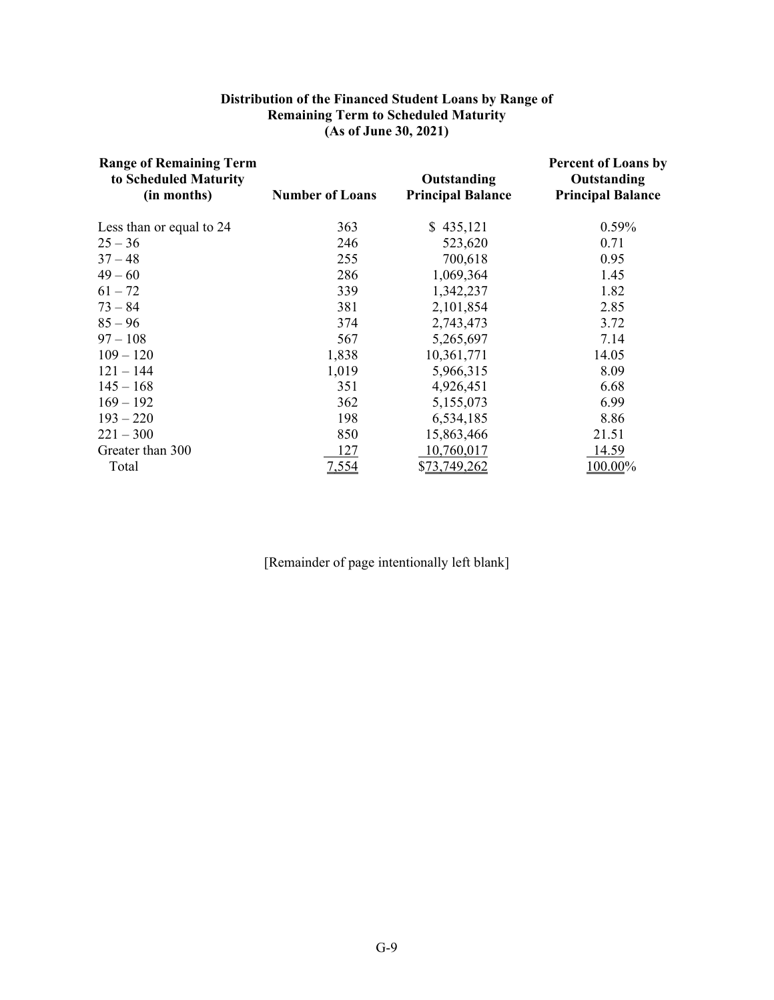### **Distribution of the Financed Student Loans by Range of Remaining Term to Scheduled Maturity (As of June 30, 2021)**

| <b>Range of Remaining Term</b><br>to Scheduled Maturity<br>(in months) | <b>Number of Loans</b> | Outstanding<br><b>Principal Balance</b> | <b>Percent of Loans by</b><br>Outstanding<br><b>Principal Balance</b> |
|------------------------------------------------------------------------|------------------------|-----------------------------------------|-----------------------------------------------------------------------|
| Less than or equal to 24                                               | 363                    | \$435,121                               | 0.59%                                                                 |
| $25 - 36$                                                              | 246                    | 523,620                                 | 0.71                                                                  |
| $37 - 48$                                                              | 255                    | 700,618                                 | 0.95                                                                  |
| $49 - 60$                                                              | 286                    | 1,069,364                               | 1.45                                                                  |
| $61 - 72$                                                              | 339                    | 1,342,237                               | 1.82                                                                  |
| $73 - 84$                                                              | 381                    | 2,101,854                               | 2.85                                                                  |
| $85 - 96$                                                              | 374                    | 2,743,473                               | 3.72                                                                  |
| $97 - 108$                                                             | 567                    | 5,265,697                               | 7.14                                                                  |
| $109 - 120$                                                            | 1,838                  | 10,361,771                              | 14.05                                                                 |
| $121 - 144$                                                            | 1,019                  | 5,966,315                               | 8.09                                                                  |
| $145 - 168$                                                            | 351                    | 4,926,451                               | 6.68                                                                  |
| $169 - 192$                                                            | 362                    | 5,155,073                               | 6.99                                                                  |
| $193 - 220$                                                            | 198                    | 6,534,185                               | 8.86                                                                  |
| $221 - 300$                                                            | 850                    | 15,863,466                              | 21.51                                                                 |
| Greater than 300                                                       | 127                    | 10,760,017                              | 14.59                                                                 |
| Total                                                                  | 7,554                  | \$73,749,262                            | $100.00\%$                                                            |

[Remainder of page intentionally left blank]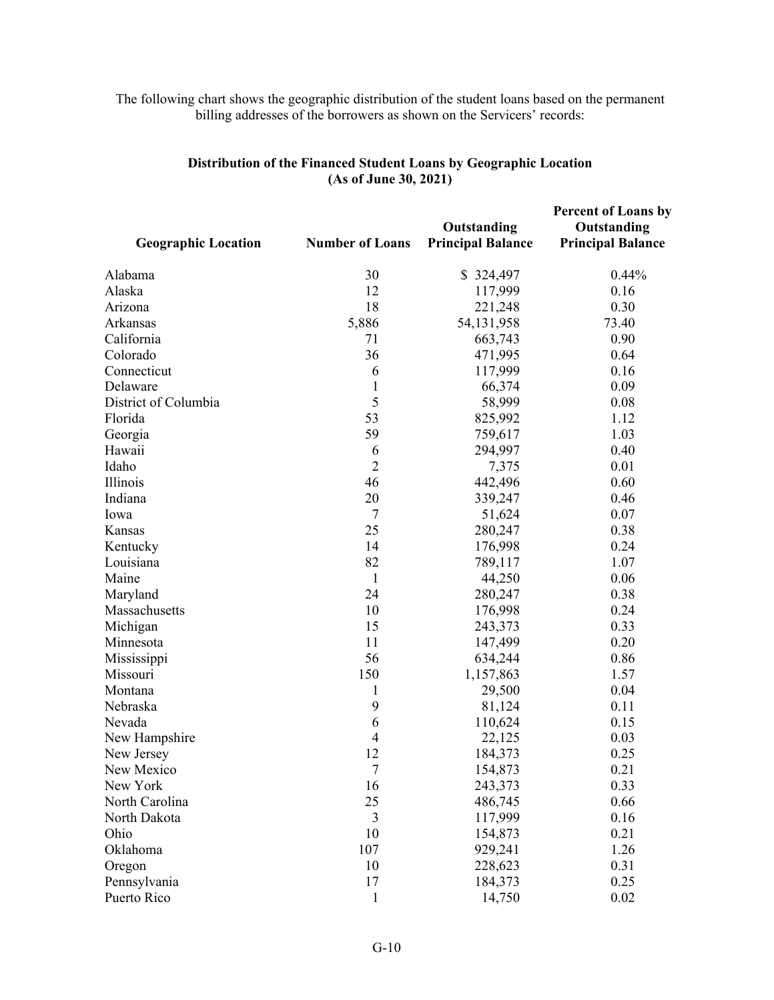#### The following chart shows the geographic distribution of the student loans based on the permanent billing addresses of the borrowers as shown on the Servicers' records:

| <b>Geographic Location</b> | <b>Number of Loans</b> | Outstanding<br><b>Principal Balance</b> | <b>Percent of Loans by</b><br>Outstanding<br><b>Principal Balance</b> |
|----------------------------|------------------------|-----------------------------------------|-----------------------------------------------------------------------|
| Alabama                    | 30                     | \$324,497                               | 0.44%                                                                 |
| Alaska                     | 12                     | 117,999                                 | 0.16                                                                  |
| Arizona                    | 18                     | 221,248                                 | 0.30                                                                  |
| Arkansas                   | 5,886                  | 54,131,958                              | 73.40                                                                 |
| California                 | 71                     | 663,743                                 | 0.90                                                                  |
| Colorado                   | 36                     | 471,995                                 | 0.64                                                                  |
| Connecticut                | 6                      | 117,999                                 | 0.16                                                                  |
| Delaware                   | $\mathbf{1}$           | 66,374                                  | 0.09                                                                  |
| District of Columbia       | 5                      | 58,999                                  | 0.08                                                                  |
| Florida                    | 53                     | 825,992                                 | 1.12                                                                  |
| Georgia                    | 59                     | 759,617                                 | 1.03                                                                  |
| Hawaii                     | 6                      | 294,997                                 | 0.40                                                                  |
| Idaho                      | $\overline{2}$         | 7,375                                   | 0.01                                                                  |
| Illinois                   | 46                     | 442,496                                 | 0.60                                                                  |
| Indiana                    | 20                     | 339,247                                 | 0.46                                                                  |
| Iowa                       | $\overline{7}$         | 51,624                                  | 0.07                                                                  |
| Kansas                     | 25                     | 280,247                                 | 0.38                                                                  |
| Kentucky                   | 14                     | 176,998                                 | 0.24                                                                  |
| Louisiana                  | 82                     | 789,117                                 | 1.07                                                                  |
| Maine                      | $\mathbf{1}$           | 44,250                                  | 0.06                                                                  |
| Maryland                   | 24                     | 280,247                                 | 0.38                                                                  |
| Massachusetts              | 10                     | 176,998                                 | 0.24                                                                  |
| Michigan                   | 15                     | 243,373                                 | 0.33                                                                  |
| Minnesota                  | 11                     | 147,499                                 | 0.20                                                                  |
| Mississippi                | 56                     | 634,244                                 | 0.86                                                                  |
| Missouri                   | 150                    | 1,157,863                               | 1.57                                                                  |
| Montana                    | 1                      | 29,500                                  | 0.04                                                                  |
| Nebraska                   | 9                      | 81,124                                  | 0.11                                                                  |
| Nevada                     | 6                      | 110,624                                 | 0.15                                                                  |
| New Hampshire              | $\overline{4}$         | 22,125                                  | 0.03                                                                  |
| New Jersey                 | 12                     | 184,373                                 | 0.25                                                                  |
| New Mexico                 | 7                      | 154,873                                 | 0.21                                                                  |
| New York                   | 16                     | 243,373                                 | 0.33                                                                  |
| North Carolina             | 25                     | 486,745                                 | 0.66                                                                  |
| North Dakota               | 3                      | 117,999                                 | 0.16                                                                  |
| Ohio                       | 10                     | 154,873                                 | 0.21                                                                  |
| Oklahoma                   | 107                    | 929,241                                 | 1.26                                                                  |
| Oregon                     | 10                     | 228,623                                 | 0.31                                                                  |
| Pennsylvania               | 17                     | 184,373                                 | 0.25                                                                  |
| Puerto Rico                | $\mathbf{1}$           | 14,750                                  | 0.02                                                                  |

# **Distribution of the Financed Student Loans by Geographic Location (As of June 30, 2021)**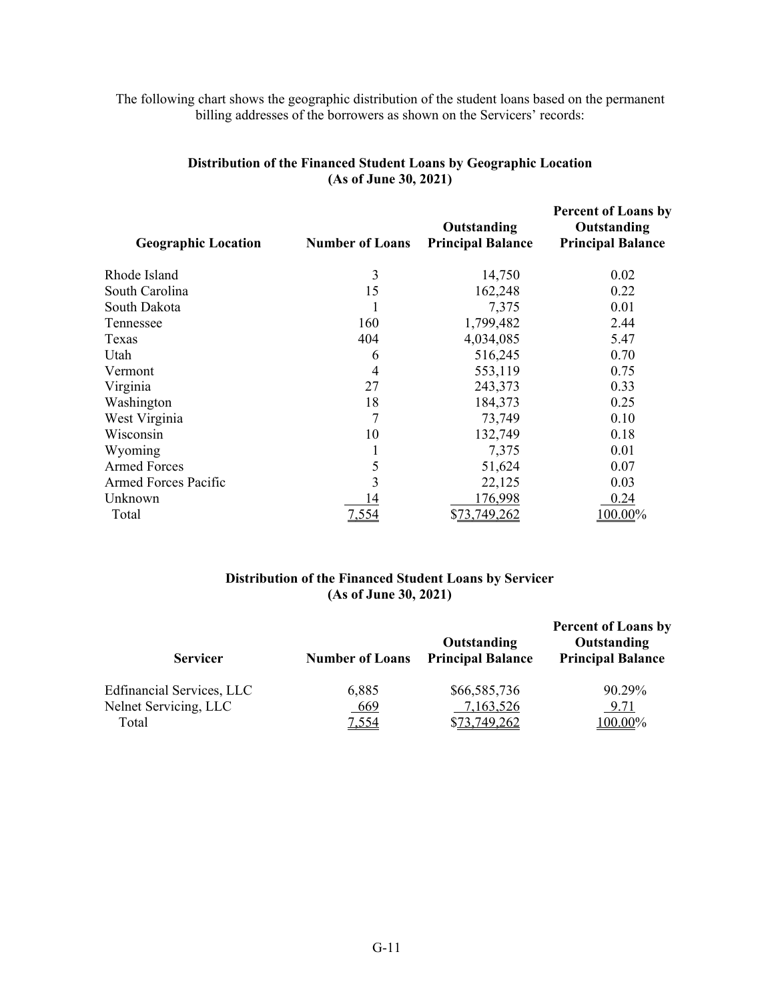# The following chart shows the geographic distribution of the student loans based on the permanent billing addresses of the borrowers as shown on the Servicers' records:

| <b>Number of Loans</b> | Outstanding<br><b>Principal Balance</b> | <b>Percent of Loans by</b><br>Outstanding<br><b>Principal Balance</b> |
|------------------------|-----------------------------------------|-----------------------------------------------------------------------|
| 3                      | 14,750                                  | 0.02                                                                  |
| 15                     | 162,248                                 | 0.22                                                                  |
| 1                      | 7,375                                   | 0.01                                                                  |
| 160                    | 1,799,482                               | 2.44                                                                  |
| 404                    | 4,034,085                               | 5.47                                                                  |
| 6                      | 516,245                                 | 0.70                                                                  |
| 4                      | 553,119                                 | 0.75                                                                  |
| 27                     | 243,373                                 | 0.33                                                                  |
| 18                     | 184,373                                 | 0.25                                                                  |
|                        | 73,749                                  | 0.10                                                                  |
| 10                     | 132,749                                 | 0.18                                                                  |
|                        | 7,375                                   | 0.01                                                                  |
| 5                      | 51,624                                  | 0.07                                                                  |
| 3                      | 22,125                                  | 0.03                                                                  |
| 14                     | 176,998                                 | 0.24                                                                  |
| 7,554                  | \$73,749,262                            | 100.00%                                                               |
|                        |                                         |                                                                       |

# **Distribution of the Financed Student Loans by Geographic Location (As of June 30, 2021)**

### **Distribution of the Financed Student Loans by Servicer (As of June 30, 2021)**

| <b>Servicer</b>           | <b>Number of Loans</b> | Outstanding<br><b>Principal Balance</b> | <b>Percent of Loans by</b><br>Outstanding<br><b>Principal Balance</b> |
|---------------------------|------------------------|-----------------------------------------|-----------------------------------------------------------------------|
| Edfinancial Services, LLC | 6,885                  | \$66,585,736                            | 90.29%                                                                |
| Nelnet Servicing, LLC     | 669                    | 7,163,526                               | 9.71                                                                  |
| Total                     | 7,554                  | \$73,749,262                            | 100.00%                                                               |